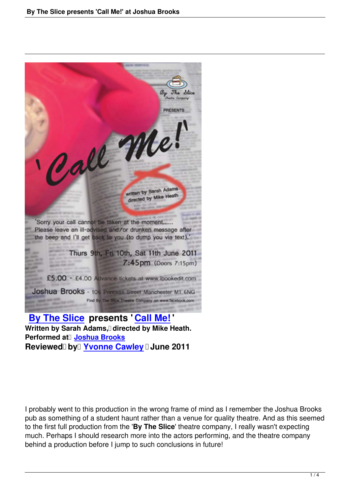

Written by Sarah Adams, directed by Mike Heath. **Performed at**<sup>[]</sup> **Joshua Brooks [Reviewed by Y](http://www.facebook.com/simon.belt#!/home.php?sk=group_225333810814383)vonne Cawley [June](by-the-slice-call-me-sarah-adams-joshua-brooks.html) 2011** 

I probably went to this production in the wrong frame of mind as I remember the Joshua Brooks pub as something of a student haunt rather than a venue for quality theatre. And as this seemed to the first full production from the '**By The Slice**' theatre company, I really wasn't expecting much. Perhaps I should research more into the actors performing, and the theatre company behind a production before I jump to such conclusions in future!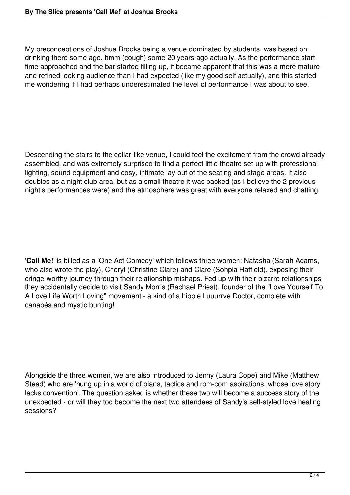My preconceptions of Joshua Brooks being a venue dominated by students, was based on drinking there some ago, hmm (cough) some 20 years ago actually. As the performance start time approached and the bar started filling up, it became apparent that this was a more mature and refined looking audience than I had expected (like my good self actually), and this started me wondering if I had perhaps underestimated the level of performance I was about to see.

Descending the stairs to the cellar-like venue, I could feel the excitement from the crowd already assembled, and was extremely surprised to find a perfect little theatre set-up with professional lighting, sound equipment and cosy, intimate lay-out of the seating and stage areas. It also doubles as a night club area, but as a small theatre it was packed (as I believe the 2 previous night's performances were) and the atmosphere was great with everyone relaxed and chatting.

'**Call Me!'** is billed as a 'One Act Comedy' which follows three women: Natasha (Sarah Adams, who also wrote the play), Cheryl (Christine Clare) and Clare (Sohpia Hatfield), exposing their cringe-worthy journey through their relationship mishaps. Fed up with their bizarre relationships they accidentally decide to visit Sandy Morris (Rachael Priest), founder of the "Love Yourself To A Love Life Worth Loving" movement - a kind of a hippie Luuurrve Doctor, complete with canapés and mystic bunting!

Alongside the three women, we are also introduced to Jenny (Laura Cope) and Mike (Matthew Stead) who are 'hung up in a world of plans, tactics and rom-com aspirations, whose love story lacks convention'. The question asked is whether these two will become a success story of the unexpected - or will they too become the next two attendees of Sandy's self-styled love healing sessions?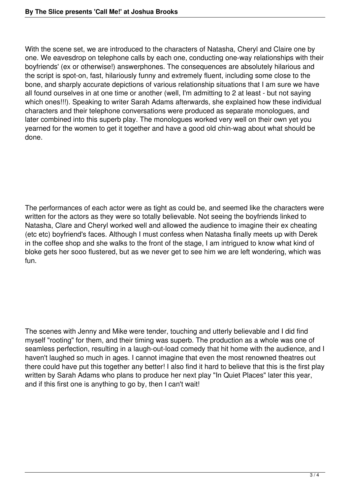With the scene set, we are introduced to the characters of Natasha, Cheryl and Claire one by one. We eavesdrop on telephone calls by each one, conducting one-way relationships with their boyfriends' (ex or otherwise!) answerphones. The consequences are absolutely hilarious and the script is spot-on, fast, hilariously funny and extremely fluent, including some close to the bone, and sharply accurate depictions of various relationship situations that I am sure we have all found ourselves in at one time or another (well, I'm admitting to 2 at least - but not saying which ones!!!). Speaking to writer Sarah Adams afterwards, she explained how these individual characters and their telephone conversations were produced as separate monologues, and later combined into this superb play. The monologues worked very well on their own yet you yearned for the women to get it together and have a good old chin-wag about what should be done.

The performances of each actor were as tight as could be, and seemed like the characters were written for the actors as they were so totally believable. Not seeing the boyfriends linked to Natasha, Clare and Cheryl worked well and allowed the audience to imagine their ex cheating (etc etc) boyfriend's faces. Although I must confess when Natasha finally meets up with Derek in the coffee shop and she walks to the front of the stage, I am intrigued to know what kind of bloke gets her sooo flustered, but as we never get to see him we are left wondering, which was fun.

The scenes with Jenny and Mike were tender, touching and utterly believable and I did find myself "rooting" for them, and their timing was superb. The production as a whole was one of seamless perfection, resulting in a laugh-out-load comedy that hit home with the audience, and I haven't laughed so much in ages. I cannot imagine that even the most renowned theatres out there could have put this together any better! I also find it hard to believe that this is the first play written by Sarah Adams who plans to produce her next play "In Quiet Places" later this year, and if this first one is anything to go by, then I can't wait!